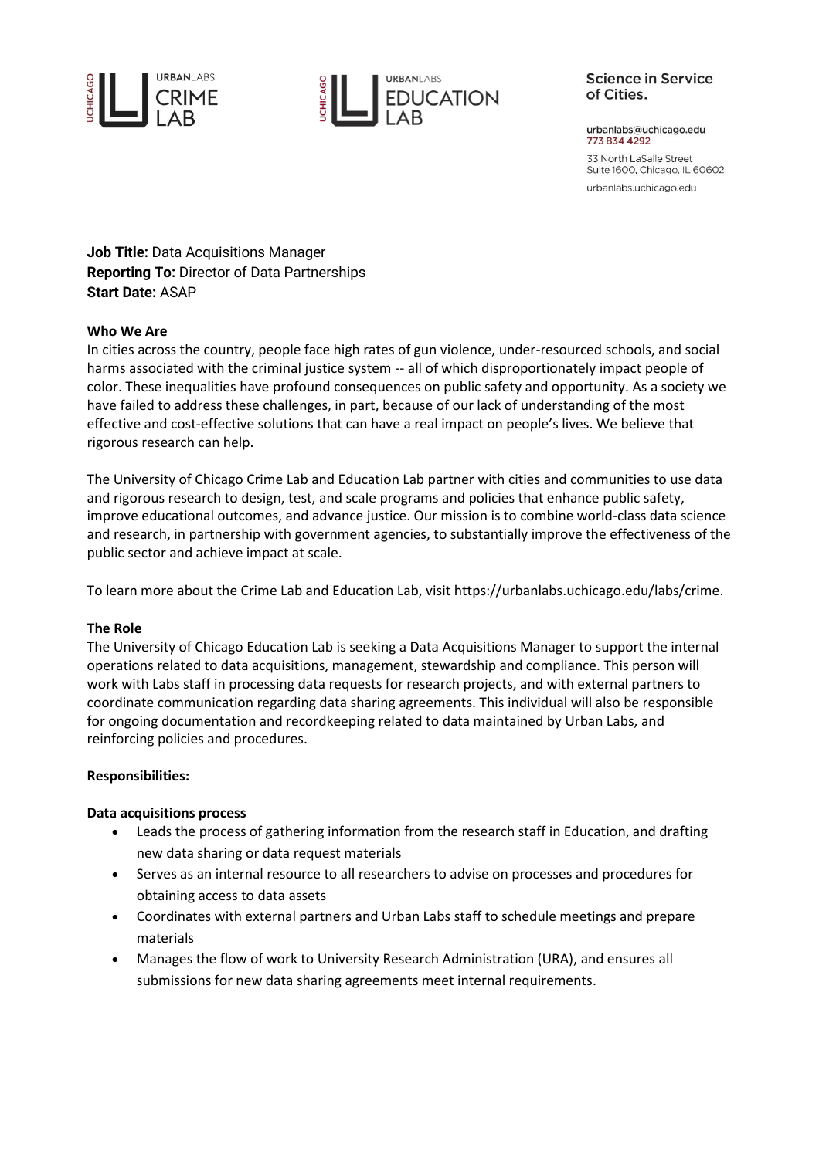



### **Science in Service** of Cities.

urbanlabs@uchicago.edu 773 834 4292

33 North LaSalle Street Suite 1600, Chicago, IL 60602 urbanlabs.uchicago.edu

**Job Title:** Data Acquisitions Manager **Reporting To:** Director of Data Partnerships **Start Date:** ASAP

# **Who We Are**

In cities across the country, people face high rates of gun violence, under-resourced schools, and social harms associated with the criminal justice system -- all of which disproportionately impact people of color. These inequalities have profound consequences on public safety and opportunity. As a society we have failed to address these challenges, in part, because of our lack of understanding of the most effective and cost-effective solutions that can have a real impact on people's lives. We believe that rigorous research can help.

The University of Chicago Crime Lab and Education Lab partner with cities and communities to use data and rigorous research to design, test, and scale programs and policies that enhance public safety, improve educational outcomes, and advance justice. Our mission is to combine world-class data science and research, in partnership with government agencies, to substantially improve the effectiveness of the public sector and achieve impact at scale.

To learn more about the Crime Lab and Education Lab, visit [https://urbanlabs.uchicago.edu/labs/crime.](https://urbanlabs.uchicago.edu/labs/crime)

### **The Role**

The University of Chicago Education Lab is seeking a Data Acquisitions Manager to support the internal operations related to data acquisitions, management, stewardship and compliance. This person will work with Labs staff in processing data requests for research projects, and with external partners to coordinate communication regarding data sharing agreements. This individual will also be responsible for ongoing documentation and recordkeeping related to data maintained by Urban Labs, and reinforcing policies and procedures.

### **Responsibilities:**

### **Data acquisitions process**

- Leads the process of gathering information from the research staff in Education, and drafting new data sharing or data request materials
- Serves as an internal resource to all researchers to advise on processes and procedures for obtaining access to data assets
- Coordinates with external partners and Urban Labs staff to schedule meetings and prepare materials
- Manages the flow of work to University Research Administration (URA), and ensures all submissions for new data sharing agreements meet internal requirements.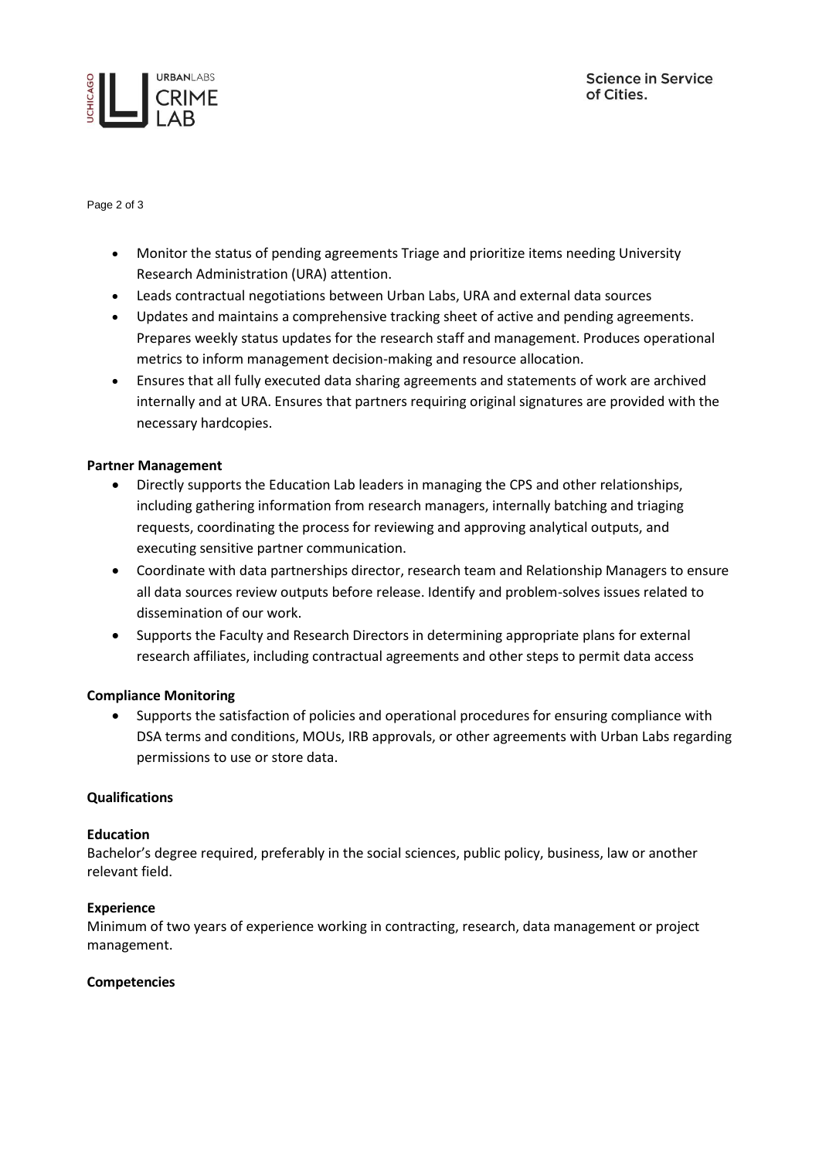



Page 2 of 3

- Monitor the status of pending agreements Triage and prioritize items needing University Research Administration (URA) attention.
- Leads contractual negotiations between Urban Labs, URA and external data sources
- Updates and maintains a comprehensive tracking sheet of active and pending agreements. Prepares weekly status updates for the research staff and management. Produces operational metrics to inform management decision-making and resource allocation.
- Ensures that all fully executed data sharing agreements and statements of work are archived internally and at URA. Ensures that partners requiring original signatures are provided with the necessary hardcopies.

### **Partner Management**

- Directly supports the Education Lab leaders in managing the CPS and other relationships, including gathering information from research managers, internally batching and triaging requests, coordinating the process for reviewing and approving analytical outputs, and executing sensitive partner communication.
- Coordinate with data partnerships director, research team and Relationship Managers to ensure all data sources review outputs before release. Identify and problem-solves issues related to dissemination of our work.
- Supports the Faculty and Research Directors in determining appropriate plans for external research affiliates, including contractual agreements and other steps to permit data access

# **Compliance Monitoring**

• Supports the satisfaction of policies and operational procedures for ensuring compliance with DSA terms and conditions, MOUs, IRB approvals, or other agreements with Urban Labs regarding permissions to use or store data.

### **Qualifications**

### **Education**

Bachelor's degree required, preferably in the social sciences, public policy, business, law or another relevant field.

### **Experience**

Minimum of two years of experience working in contracting, research, data management or project management.

### **Competencies**